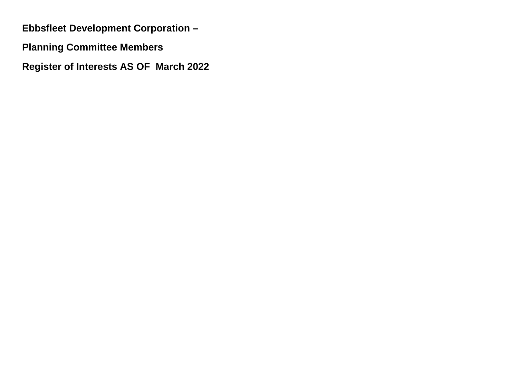**Ebbsfleet Development Corporation –**

**Planning Committee Members** 

**Register of Interests AS OF March 2022**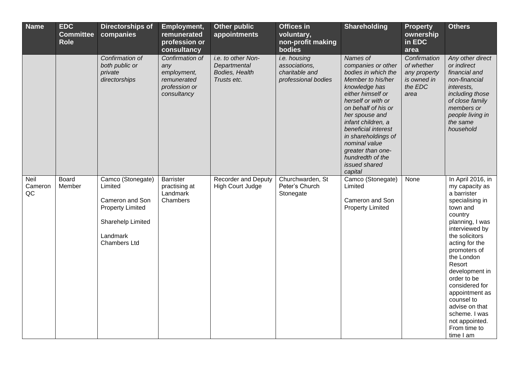| <b>Name</b>           | <b>EDC</b><br><b>Committee</b><br><b>Role</b> | <b>Directorships of</b><br>companies                                                                                               | Employment,<br>remunerated<br>profession or<br>consultancy                           | Other public<br>appointments                                        | <b>Offices in</b><br>voluntary,<br>non-profit making<br>bodies         | <b>Shareholding</b>                                                                                                                                                                                                                                                                                                                       | <b>Property</b><br>ownership<br>in EDC<br>area                               | <b>Others</b>                                                                                                                                                                                                                                                                                                                                                                      |
|-----------------------|-----------------------------------------------|------------------------------------------------------------------------------------------------------------------------------------|--------------------------------------------------------------------------------------|---------------------------------------------------------------------|------------------------------------------------------------------------|-------------------------------------------------------------------------------------------------------------------------------------------------------------------------------------------------------------------------------------------------------------------------------------------------------------------------------------------|------------------------------------------------------------------------------|------------------------------------------------------------------------------------------------------------------------------------------------------------------------------------------------------------------------------------------------------------------------------------------------------------------------------------------------------------------------------------|
|                       |                                               | Confirmation of<br>both public or<br>private<br>directorships                                                                      | Confirmation of<br>any<br>employment,<br>remunerated<br>profession or<br>consultancy | i.e. to other Non-<br>Departmental<br>Bodies, Health<br>Trusts etc. | i.e. housing<br>associations,<br>charitable and<br>professional bodies | Names of<br>companies or other<br>bodies in which the<br>Member to his/her<br>knowledge has<br>either himself or<br>herself or with or<br>on behalf of his or<br>her spouse and<br>infant children, a<br>beneficial interest<br>in shareholdings of<br>nominal value<br>greater than one-<br>hundredth of the<br>issued shared<br>capital | Confirmation<br>of whether<br>any property<br>is owned in<br>the EDC<br>area | Any other direct<br>or indirect<br>financial and<br>non-financial<br>interests,<br>including those<br>of close family<br>members or<br>people living in<br>the same<br>household                                                                                                                                                                                                   |
| Neil<br>Cameron<br>QC | Board<br>Member                               | Camco (Stonegate)<br>Limited<br>Cameron and Son<br><b>Property Limited</b><br>Sharehelp Limited<br>Landmark<br><b>Chambers Ltd</b> | <b>Barrister</b><br>practising at<br>Landmark<br>Chambers                            | <b>Recorder and Deputy</b><br><b>High Court Judge</b>               | Churchwarden, St<br>Peter's Church<br>Stonegate                        | Camco (Stonegate)<br>Limited<br>Cameron and Son<br><b>Property Limited</b>                                                                                                                                                                                                                                                                | None                                                                         | In April 2016, in<br>my capacity as<br>a barrister<br>specialising in<br>town and<br>country<br>planning, I was<br>interviewed by<br>the solicitors<br>acting for the<br>promoters of<br>the London<br>Resort<br>development in<br>order to be<br>considered for<br>appointment as<br>counsel to<br>advise on that<br>scheme. I was<br>not appointed.<br>From time to<br>time I am |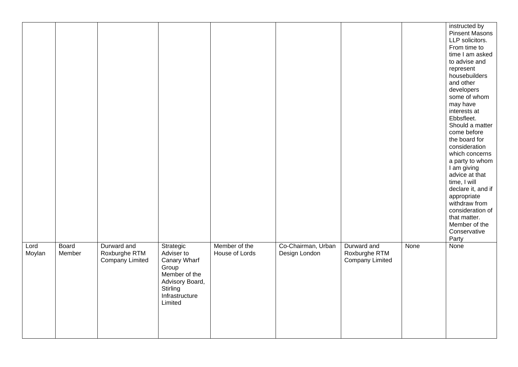|                |                 |                                                        |                                                                                                                               |                                 |                                     |                                                        |      | instructed by<br><b>Pinsent Masons</b><br>LLP solicitors.<br>From time to<br>time I am asked<br>to advise and<br>represent<br>housebuilders<br>and other<br>developers<br>some of whom<br>may have<br>interests at<br>Ebbsfleet.<br>Should a matter<br>come before<br>the board for<br>consideration<br>which concerns<br>a party to whom<br>I am giving<br>advice at that<br>time, I will<br>declare it, and if<br>appropriate<br>withdraw from<br>consideration of<br>that matter.<br>Member of the<br>Conservative<br><b>Party</b> |
|----------------|-----------------|--------------------------------------------------------|-------------------------------------------------------------------------------------------------------------------------------|---------------------------------|-------------------------------------|--------------------------------------------------------|------|---------------------------------------------------------------------------------------------------------------------------------------------------------------------------------------------------------------------------------------------------------------------------------------------------------------------------------------------------------------------------------------------------------------------------------------------------------------------------------------------------------------------------------------|
| Lord<br>Moylan | Board<br>Member | Durward and<br>Roxburghe RTM<br><b>Company Limited</b> | Strategic<br>Adviser to<br>Canary Wharf<br>Group<br>Member of the<br>Advisory Board,<br>Stirling<br>Infrastructure<br>Limited | Member of the<br>House of Lords | Co-Chairman, Urban<br>Design London | Durward and<br>Roxburghe RTM<br><b>Company Limited</b> | None | None                                                                                                                                                                                                                                                                                                                                                                                                                                                                                                                                  |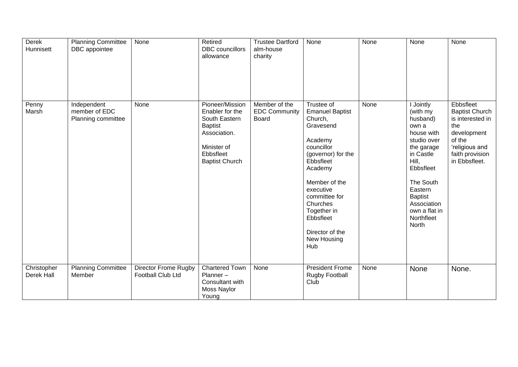| Derek<br>Hunnisett        | <b>Planning Committee</b><br>DBC appointee         | None                                             | Retired<br><b>DBC</b> councillors<br>allowance                                                                                             | <b>Trustee Dartford</b><br>alm-house<br>charity       | None                                                                                                                                                                                                                                                                | None | None                                                                                                                                                                                                                      | None                                                                                                                                         |
|---------------------------|----------------------------------------------------|--------------------------------------------------|--------------------------------------------------------------------------------------------------------------------------------------------|-------------------------------------------------------|---------------------------------------------------------------------------------------------------------------------------------------------------------------------------------------------------------------------------------------------------------------------|------|---------------------------------------------------------------------------------------------------------------------------------------------------------------------------------------------------------------------------|----------------------------------------------------------------------------------------------------------------------------------------------|
| Penny<br>Marsh            | Independent<br>member of EDC<br>Planning committee | None                                             | Pioneer/Mission<br>Enabler for the<br>South Eastern<br><b>Baptist</b><br>Association.<br>Minister of<br>Ebbsfleet<br><b>Baptist Church</b> | Member of the<br><b>EDC Community</b><br><b>Board</b> | Trustee of<br><b>Emanuel Baptist</b><br>Church,<br>Gravesend<br>Academy<br>councillor<br>(governor) for the<br>Ebbsfleet<br>Academy<br>Member of the<br>executive<br>committee for<br>Churches<br>Together in<br>Ebbsfleet<br>Director of the<br>New Housing<br>Hub | None | I Jointly<br>(with my<br>husband)<br>own a<br>house with<br>studio over<br>the garage<br>in Castle<br>Hill,<br>Ebbsfleet<br>The South<br>Eastern<br><b>Baptist</b><br>Association<br>own a flat in<br>Northfleet<br>North | Ebbsfleet<br><b>Baptist Church</b><br>is interested in<br>the<br>development<br>of the<br>'religious and<br>faith provision<br>in Ebbsfleet. |
| Christopher<br>Derek Hall | <b>Planning Committee</b><br>Member                | <b>Director Frome Rugby</b><br>Football Club Ltd | <b>Chartered Town</b><br>Planner-<br>Consultant with<br>Moss Naylor<br>Young                                                               | None                                                  | <b>President Frome</b><br>Rugby Football<br>Club                                                                                                                                                                                                                    | None | None                                                                                                                                                                                                                      | None.                                                                                                                                        |